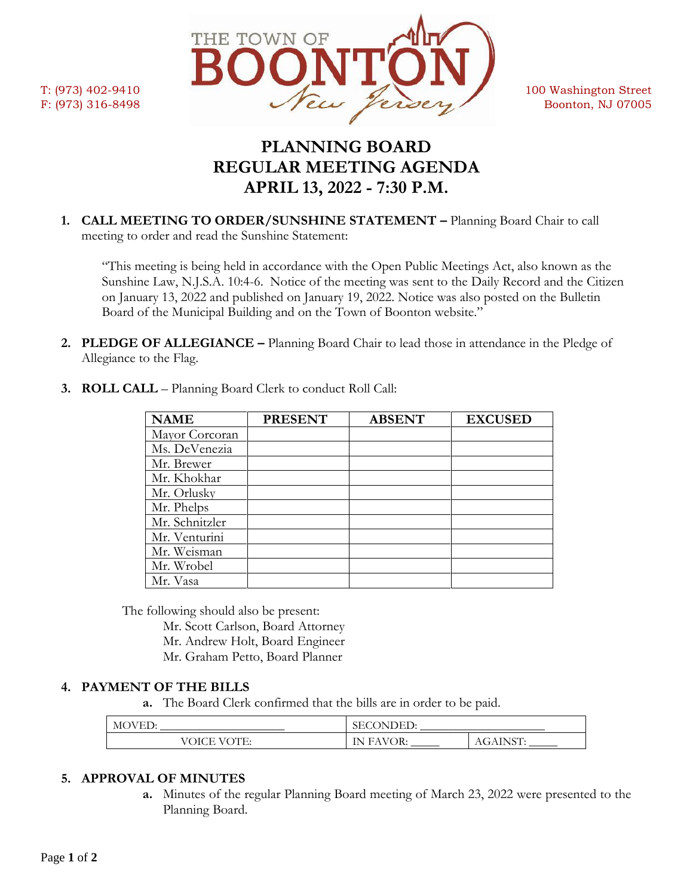

# **PLANNING BOARD REGULAR MEETING AGENDA APRIL 13, 2022 - 7:30 P.M.**

**1. CALL MEETING TO ORDER/SUNSHINE STATEMENT –** Planning Board Chair to call meeting to order and read the Sunshine Statement:

"This meeting is being held in accordance with the Open Public Meetings Act, also known as the Sunshine Law, N.J.S.A. 10:4-6. Notice of the meeting was sent to the Daily Record and the Citizen on January 13, 2022 and published on January 19, 2022. Notice was also posted on the Bulletin Board of the Municipal Building and on the Town of Boonton website."

**2. PLEDGE OF ALLEGIANCE –** Planning Board Chair to lead those in attendance in the Pledge of Allegiance to the Flag.

| <b>NAME</b>    | <b>PRESENT</b> | <b>ABSENT</b> | <b>EXCUSED</b> |
|----------------|----------------|---------------|----------------|
| Mayor Corcoran |                |               |                |
| Ms. DeVenezia  |                |               |                |
| Mr. Brewer     |                |               |                |
| Mr. Khokhar    |                |               |                |
| Mr. Orlusky    |                |               |                |
| Mr. Phelps     |                |               |                |
| Mr. Schnitzler |                |               |                |
| Mr. Venturini  |                |               |                |
| Mr. Weisman    |                |               |                |
| Mr. Wrobel     |                |               |                |
| Mr. Vasa       |                |               |                |

**3. ROLL CALL** – Planning Board Clerk to conduct Roll Call:

The following should also be present:

Mr. Scott Carlson, Board Attorney Mr. Andrew Holt, Board Engineer

Mr. Graham Petto, Board Planner

# **4. PAYMENT OF THE BILLS**

**a.** The Board Clerk confirmed that the bills are in order to be paid.

| $\mathcal{N}$<br>ΜÇ                                                        | רED∙<br>INI<br>٠Н<br>$\cup$<br>$\sim$ |                       |
|----------------------------------------------------------------------------|---------------------------------------|-----------------------|
| VOTE:<br>$\sim$ $\sim$ $\sim$ $\sim$ $\sim$<br>VOICE<br>$\cdot$ $\sqrt{6}$ | VOR:<br>INI                           | <b>INST.</b><br>AGAIN |

# **5. APPROVAL OF MINUTES**

**a.** Minutes of the regular Planning Board meeting of March 23, 2022 were presented to the Planning Board.